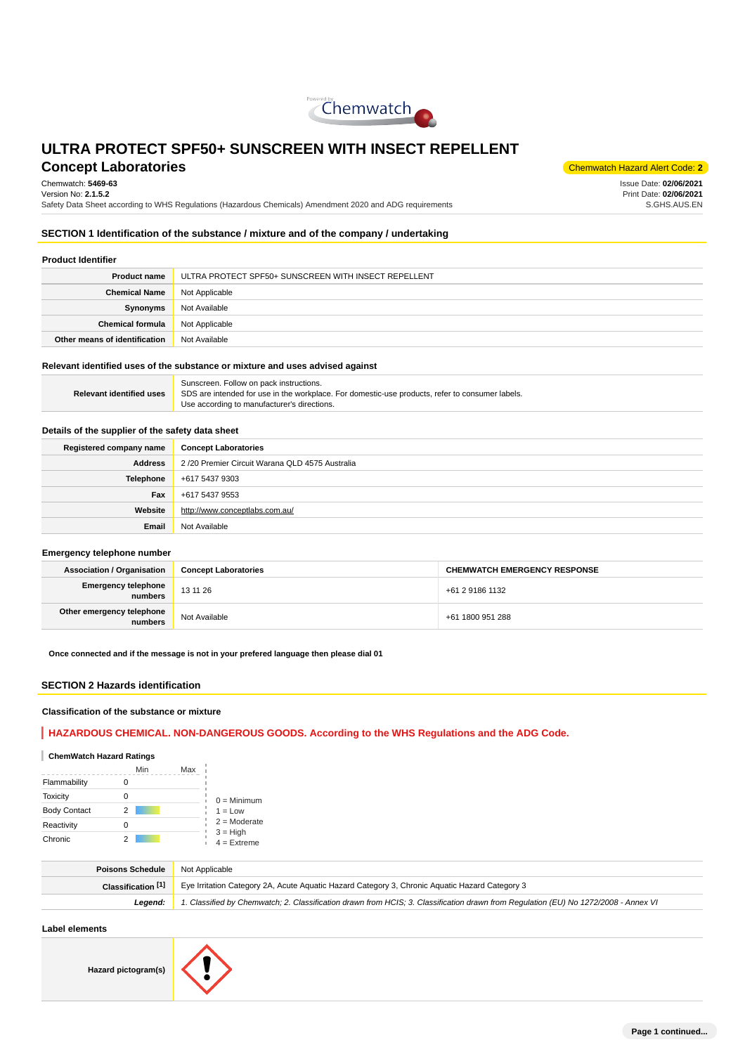

# **Concept Laboratories** Concept Alert Code: 2

Chemwatch: **5469-63** Version No: **2.1.5.2**

Safety Data Sheet according to WHS Regulations (Hazardous Chemicals) Amendment 2020 and ADG requirements

Issue Date: **02/06/2021** Print Date: **02/06/2021** S.GHS.AUS.EN

### **SECTION 1 Identification of the substance / mixture and of the company / undertaking**

#### **Product Identifier**

| <b>Product name</b>           | ULTRA PROTECT SPF50+ SUNSCREEN WITH INSECT REPELLENT |
|-------------------------------|------------------------------------------------------|
| <b>Chemical Name</b>          | Not Applicable                                       |
| Synonyms                      | Not Available                                        |
| <b>Chemical formula</b>       | Not Applicable                                       |
| Other means of identification | Not Available                                        |

### **Relevant identified uses of the substance or mixture and uses advised against**

|                                 | Sunscreen. Follow on pack instructions.                                                         |
|---------------------------------|-------------------------------------------------------------------------------------------------|
| <b>Relevant identified uses</b> | SDS are intended for use in the workplace. For domestic-use products, refer to consumer labels. |
|                                 | Use according to manufacturer's directions.                                                     |

# **Details of the supplier of the safety data sheet**

| Registered company name | <b>Concept Laboratories</b>                    |
|-------------------------|------------------------------------------------|
| Address                 | 2/20 Premier Circuit Warana QLD 4575 Australia |
| Telephone               | +617 5437 9303                                 |
| Fax                     | +617 5437 9553                                 |
| Website                 | http://www.conceptlabs.com.au/                 |
| Email                   | Not Available                                  |

### **Emergency telephone number**

| <b>Association / Organisation</b>    | <b>Concept Laboratories</b> | <b>CHEMWATCH EMERGENCY RESPONSE</b> |
|--------------------------------------|-----------------------------|-------------------------------------|
| Emergency telephone<br>numbers       | 13 11 26                    | +61 2 9186 1132                     |
| Other emergency telephone<br>numbers | Not Available               | +61 1800 951 288                    |

**Once connected and if the message is not in your prefered language then please dial 01**

### **SECTION 2 Hazards identification**

#### **Classification of the substance or mixture**

# **HAZARDOUS CHEMICAL. NON-DANGEROUS GOODS. According to the WHS Regulations and the ADG Code.**

### **ChemWatch Hazard Ratings**

|                     | Min | Max |                             |
|---------------------|-----|-----|-----------------------------|
| Flammability        |     |     |                             |
| Toxicity            | Ω   |     | $0 =$ Minimum               |
| <b>Body Contact</b> | 2   |     | $1 = Low$                   |
| Reactivity          | Ω   |     | $2 =$ Moderate              |
| Chronic             |     |     | $3 = High$<br>$4 =$ Extreme |

| <b>Poisons Schedule</b> | Not Applicable                                                                                                                      |
|-------------------------|-------------------------------------------------------------------------------------------------------------------------------------|
| Classification [1]      | Eye Irritation Category 2A, Acute Aquatic Hazard Category 3, Chronic Aquatic Hazard Category 3                                      |
| Leaend:                 | 1. Classified by Chemwatch; 2. Classification drawn from HCIS; 3. Classification drawn from Requlation (EU) No 1272/2008 - Annex VI |

### **Label elements**

**Hazard pictogram(s)**

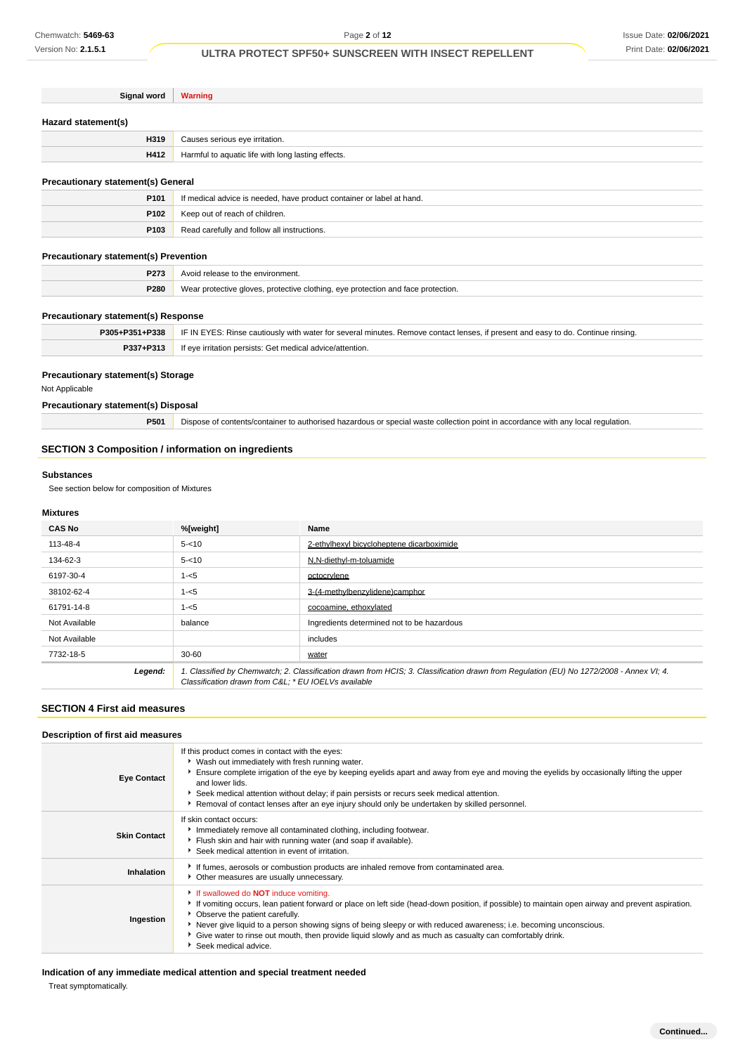| Signal word                                  | <b>Warning</b>                                                                                                                   |
|----------------------------------------------|----------------------------------------------------------------------------------------------------------------------------------|
|                                              |                                                                                                                                  |
| Hazard statement(s)                          |                                                                                                                                  |
| H319                                         | Causes serious eye irritation.                                                                                                   |
| H412                                         | Harmful to aquatic life with long lasting effects.                                                                               |
|                                              |                                                                                                                                  |
| <b>Precautionary statement(s) General</b>    |                                                                                                                                  |
| P <sub>101</sub>                             | If medical advice is needed, have product container or label at hand.                                                            |
| P <sub>102</sub>                             | Keep out of reach of children.                                                                                                   |
| P <sub>103</sub>                             | Read carefully and follow all instructions.                                                                                      |
|                                              |                                                                                                                                  |
| <b>Precautionary statement(s) Prevention</b> |                                                                                                                                  |
| P273                                         | Avoid release to the environment.                                                                                                |
| P280                                         | Wear protective gloves, protective clothing, eye protection and face protection.                                                 |
|                                              |                                                                                                                                  |
| <b>Precautionary statement(s) Response</b>   |                                                                                                                                  |
| P305+P351+P338                               | IF IN EYES: Rinse cautiously with water for several minutes. Remove contact lenses, if present and easy to do. Continue rinsing. |
| P337+P313                                    | If eye irritation persists: Get medical advice/attention.                                                                        |
|                                              |                                                                                                                                  |
| <b>Precautionary statement(s) Storage</b>    |                                                                                                                                  |

### Not Applicable

# **Precautionary statement(s) Disposal**

**P501** Dispose of contents/container to authorised hazardous or special waste collection point in accordance with any local regulation.

# **SECTION 3 Composition / information on ingredients**

### **Substances**

See section below for composition of Mixtures

### **Mixtures**

| <b>CAS No</b> | %[weight]                                                                                                                                                                                      | Name                                       |
|---------------|------------------------------------------------------------------------------------------------------------------------------------------------------------------------------------------------|--------------------------------------------|
| 113-48-4      | $5 - 10$                                                                                                                                                                                       | 2-ethylhexyl bicycloheptene dicarboximide  |
| 134-62-3      | $5 - 10$                                                                                                                                                                                       | N,N-diethyl-m-toluamide                    |
| 6197-30-4     | $1 - 5$                                                                                                                                                                                        | octocrylene                                |
| 38102-62-4    | $1 - 5$                                                                                                                                                                                        | 3-(4-methylbenzylidene)camphor             |
| 61791-14-8    | $1 - 5$                                                                                                                                                                                        | cocoamine, ethoxylated                     |
| Not Available | balance                                                                                                                                                                                        | Ingredients determined not to be hazardous |
| Not Available |                                                                                                                                                                                                | includes                                   |
| 7732-18-5     | $30 - 60$                                                                                                                                                                                      | water                                      |
| Legend:       | 1. Classified by Chemwatch; 2. Classification drawn from HCIS; 3. Classification drawn from Regulation (EU) No 1272/2008 - Annex VI; 4.<br>Classification drawn from C&L * EU IOELVs available |                                            |

# **SECTION 4 First aid measures**

### **Description of first aid measures**

| <b>Eye Contact</b>  | If this product comes in contact with the eyes:<br>▶ Wash out immediately with fresh running water.<br>Ensure complete irrigation of the eye by keeping eyelids apart and away from eye and moving the eyelids by occasionally lifting the upper<br>and lower lids.<br>Seek medical attention without delay; if pain persists or recurs seek medical attention.<br>▶ Removal of contact lenses after an eye injury should only be undertaken by skilled personnel.                           |
|---------------------|----------------------------------------------------------------------------------------------------------------------------------------------------------------------------------------------------------------------------------------------------------------------------------------------------------------------------------------------------------------------------------------------------------------------------------------------------------------------------------------------|
| <b>Skin Contact</b> | If skin contact occurs:<br>Immediately remove all contaminated clothing, including footwear.<br>Flush skin and hair with running water (and soap if available).<br>Seek medical attention in event of irritation.                                                                                                                                                                                                                                                                            |
| Inhalation          | If fumes, aerosols or combustion products are inhaled remove from contaminated area.<br>Other measures are usually unnecessary.                                                                                                                                                                                                                                                                                                                                                              |
| Ingestion           | If swallowed do <b>NOT</b> induce vomiting.<br>If vomiting occurs, lean patient forward or place on left side (head-down position, if possible) to maintain open airway and prevent aspiration.<br>• Observe the patient carefully.<br>Never give liquid to a person showing signs of being sleepy or with reduced awareness; i.e. becoming unconscious.<br>Give water to rinse out mouth, then provide liquid slowly and as much as casualty can comfortably drink.<br>Seek medical advice. |

**Indication of any immediate medical attention and special treatment needed**

Treat symptomatically.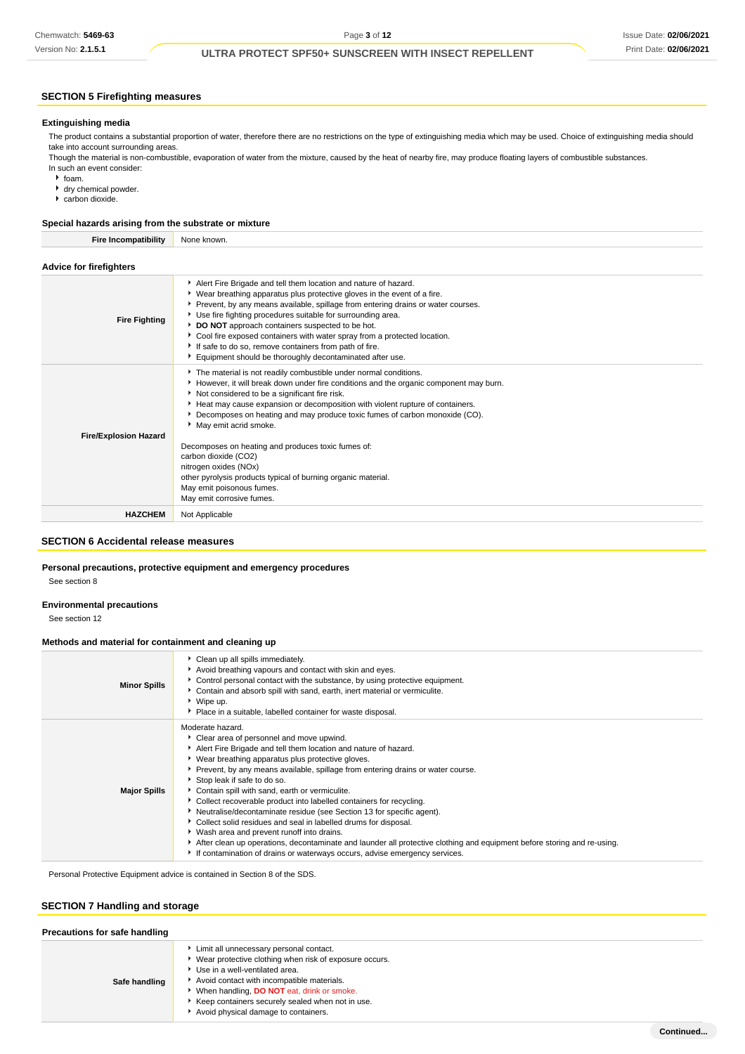# **SECTION 5 Firefighting measures**

#### **Extinguishing media**

The product contains a substantial proportion of water, therefore there are no restrictions on the type of extinguishing media which may be used. Choice of extinguishing media should take into account surrounding areas.

Though the material is non-combustible, evaporation of water from the mixture, caused by the heat of nearby fire, may produce floating layers of combustible substances. In such an event consider:

- foam.
- dry chemical powder.
- carbon dioxide.

### **Special hazards arising from the substrate or mixture**

**Fire Incompatibility** None known. **Advice for firefighters**

| <b>Fire Fighting</b>         | Alert Fire Brigade and tell them location and nature of hazard.<br>• Wear breathing apparatus plus protective gloves in the event of a fire.<br>▶ Prevent, by any means available, spillage from entering drains or water courses.<br>Use fire fighting procedures suitable for surrounding area.<br>DO NOT approach containers suspected to be hot.<br>Cool fire exposed containers with water spray from a protected location.<br>If safe to do so, remove containers from path of fire.<br>Equipment should be thoroughly decontaminated after use. |
|------------------------------|--------------------------------------------------------------------------------------------------------------------------------------------------------------------------------------------------------------------------------------------------------------------------------------------------------------------------------------------------------------------------------------------------------------------------------------------------------------------------------------------------------------------------------------------------------|
| <b>Fire/Explosion Hazard</b> | The material is not readily combustible under normal conditions.<br>However, it will break down under fire conditions and the organic component may burn.<br>Not considered to be a significant fire risk.<br>Heat may cause expansion or decomposition with violent rupture of containers.<br>Decomposes on heating and may produce toxic fumes of carbon monoxide (CO).<br>May emit acrid smoke.                                                                                                                                                     |
|                              | Decomposes on heating and produces toxic fumes of:<br>carbon dioxide (CO2)<br>nitrogen oxides (NOx)<br>other pyrolysis products typical of burning organic material.<br>May emit poisonous fumes.<br>May emit corrosive fumes.                                                                                                                                                                                                                                                                                                                         |
| <b>HAZCHEM</b>               | Not Applicable                                                                                                                                                                                                                                                                                                                                                                                                                                                                                                                                         |

# **SECTION 6 Accidental release measures**

# **Personal precautions, protective equipment and emergency procedures**

See section 8

#### **Environmental precautions**

See section 12

#### **Methods and material for containment and cleaning up**

| <b>Minor Spills</b> | Clean up all spills immediately.<br>Avoid breathing vapours and contact with skin and eyes.<br>▶ Control personal contact with the substance, by using protective equipment.<br>▶ Contain and absorb spill with sand, earth, inert material or vermiculite.<br>▶ Wipe up.<br>Place in a suitable, labelled container for waste disposal.                                                                                                                                                                                                                                                                                                                                                                                                                                                                                                 |
|---------------------|------------------------------------------------------------------------------------------------------------------------------------------------------------------------------------------------------------------------------------------------------------------------------------------------------------------------------------------------------------------------------------------------------------------------------------------------------------------------------------------------------------------------------------------------------------------------------------------------------------------------------------------------------------------------------------------------------------------------------------------------------------------------------------------------------------------------------------------|
| <b>Major Spills</b> | Moderate hazard.<br>Clear area of personnel and move upwind.<br>Alert Fire Brigade and tell them location and nature of hazard.<br>▶ Wear breathing apparatus plus protective gloves.<br>▶ Prevent, by any means available, spillage from entering drains or water course.<br>Stop leak if safe to do so.<br>Contain spill with sand, earth or vermiculite.<br>• Collect recoverable product into labelled containers for recycling.<br>Neutralise/decontaminate residue (see Section 13 for specific agent).<br>Collect solid residues and seal in labelled drums for disposal.<br>▶ Wash area and prevent runoff into drains.<br>After clean up operations, decontaminate and launder all protective clothing and equipment before storing and re-using.<br>If contamination of drains or waterways occurs, advise emergency services. |

Personal Protective Equipment advice is contained in Section 8 of the SDS.

#### **SECTION 7 Handling and storage**

| Precautions for safe handling |                                                                                                                                                                                                                                                                                                                                 |  |
|-------------------------------|---------------------------------------------------------------------------------------------------------------------------------------------------------------------------------------------------------------------------------------------------------------------------------------------------------------------------------|--|
| Safe handling                 | ▶ Limit all unnecessary personal contact.<br>▶ Wear protective clothing when risk of exposure occurs.<br>Use in a well-ventilated area.<br>Avoid contact with incompatible materials.<br>When handling, DO NOT eat, drink or smoke.<br>Keep containers securely sealed when not in use.<br>Avoid physical damage to containers. |  |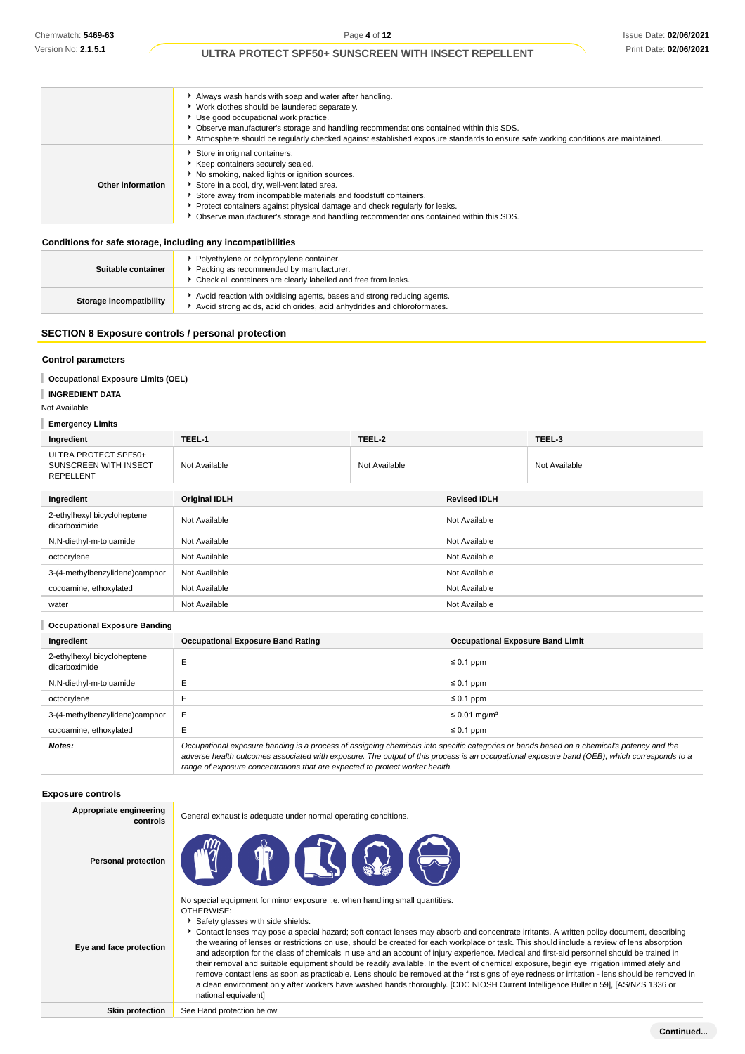|                   | Always wash hands with soap and water after handling.<br>▶ Work clothes should be laundered separately.<br>▶ Use good occupational work practice.<br>Observe manufacturer's storage and handling recommendations contained within this SDS.<br>Atmosphere should be regularly checked against established exposure standards to ensure safe working conditions are maintained.                                 |
|-------------------|----------------------------------------------------------------------------------------------------------------------------------------------------------------------------------------------------------------------------------------------------------------------------------------------------------------------------------------------------------------------------------------------------------------|
| Other information | Store in original containers.<br>Keep containers securely sealed.<br>No smoking, naked lights or ignition sources.<br>Store in a cool, dry, well-ventilated area.<br>Store away from incompatible materials and foodstuff containers.<br>Protect containers against physical damage and check regularly for leaks.<br>▶ Observe manufacturer's storage and handling recommendations contained within this SDS. |

#### **Conditions for safe storage, including any incompatibilities**

| Suitable container      | Polyethylene or polypropylene container.<br>Packing as recommended by manufacturer.<br>• Check all containers are clearly labelled and free from leaks. |
|-------------------------|---------------------------------------------------------------------------------------------------------------------------------------------------------|
| Storage incompatibility | Avoid reaction with oxidising agents, bases and strong reducing agents.<br>Avoid strong acids, acid chlorides, acid anhydrides and chloroformates.      |

### **SECTION 8 Exposure controls / personal protection**

### **Control parameters**

### **Occupational Exposure Limits (OEL)**

**INGREDIENT DATA**

Not Available

**Emergency Limits**

| Ingredient                                                        | TEEL-1               | TEEL-2        |                     | TEEL-3        |
|-------------------------------------------------------------------|----------------------|---------------|---------------------|---------------|
| ULTRA PROTECT SPF50+<br>SUNSCREEN WITH INSECT<br><b>REPELLENT</b> | Not Available        | Not Available |                     | Not Available |
| Ingredient                                                        | <b>Original IDLH</b> |               | <b>Revised IDLH</b> |               |
| 2-ethylhexyl bicycloheptene<br>dicarboximide                      | Not Available        |               | Not Available       |               |
| N,N-diethyl-m-toluamide                                           | Not Available        |               | Not Available       |               |
| octocrylene                                                       | Not Available        |               | Not Available       |               |
| 3-(4-methylbenzylidene)camphor                                    | Not Available        |               | Not Available       |               |
| cocoamine, ethoxylated                                            | Not Available        |               | Not Available       |               |
| water                                                             | Not Available        |               | Not Available       |               |

| <b>Occupational Exposure Banding</b>         |                                                                                                                                                                                                                                                                                          |                                         |  |
|----------------------------------------------|------------------------------------------------------------------------------------------------------------------------------------------------------------------------------------------------------------------------------------------------------------------------------------------|-----------------------------------------|--|
| Ingredient                                   | <b>Occupational Exposure Band Rating</b>                                                                                                                                                                                                                                                 | <b>Occupational Exposure Band Limit</b> |  |
| 2-ethylhexyl bicycloheptene<br>dicarboximide | E                                                                                                                                                                                                                                                                                        | $\leq 0.1$ ppm                          |  |
| N,N-diethyl-m-toluamide                      | E                                                                                                                                                                                                                                                                                        | $\leq 0.1$ ppm                          |  |
| octocrylene                                  | E                                                                                                                                                                                                                                                                                        | $\leq 0.1$ ppm                          |  |
| 3-(4-methylbenzylidene)camphor               | Ε                                                                                                                                                                                                                                                                                        | $\leq$ 0.01 mg/m <sup>3</sup>           |  |
| cocoamine, ethoxylated                       | E                                                                                                                                                                                                                                                                                        | $\leq 0.1$ ppm                          |  |
| Notes:                                       | Occupational exposure banding is a process of assigning chemicals into specific categories or bands based on a chemical's potency and the<br>adverse health outcomes associated with exposure. The output of this process is an occupational exposure band (OEB), which corresponds to a |                                         |  |

range of exposure concentrations that are expected to protect worker health.

### **Exposure controls**

| Appropriate engineering<br>controls | General exhaust is adequate under normal operating conditions.                                                                                                                                                                                                                                                                                                                                                                                                                                                                                                                                                                                                                                                                                                                                                                                                                                                                                                                                                                         |
|-------------------------------------|----------------------------------------------------------------------------------------------------------------------------------------------------------------------------------------------------------------------------------------------------------------------------------------------------------------------------------------------------------------------------------------------------------------------------------------------------------------------------------------------------------------------------------------------------------------------------------------------------------------------------------------------------------------------------------------------------------------------------------------------------------------------------------------------------------------------------------------------------------------------------------------------------------------------------------------------------------------------------------------------------------------------------------------|
| <b>Personal protection</b>          | $\P$<br><b>. OI</b>                                                                                                                                                                                                                                                                                                                                                                                                                                                                                                                                                                                                                                                                                                                                                                                                                                                                                                                                                                                                                    |
| Eye and face protection             | No special equipment for minor exposure i.e. when handling small quantities.<br>OTHERWISE:<br>Safety glasses with side shields.<br>Contact lenses may pose a special hazard; soft contact lenses may absorb and concentrate irritants. A written policy document, describing<br>the wearing of lenses or restrictions on use, should be created for each workplace or task. This should include a review of lens absorption<br>and adsorption for the class of chemicals in use and an account of injury experience. Medical and first-aid personnel should be trained in<br>their removal and suitable equipment should be readily available. In the event of chemical exposure, begin eye irrigation immediately and<br>remove contact lens as soon as practicable. Lens should be removed at the first signs of eye redness or irritation - lens should be removed in<br>a clean environment only after workers have washed hands thoroughly. [CDC NIOSH Current Intelligence Bulletin 59], [AS/NZS 1336 or<br>national equivalent] |
| <b>Skin protection</b>              | See Hand protection below                                                                                                                                                                                                                                                                                                                                                                                                                                                                                                                                                                                                                                                                                                                                                                                                                                                                                                                                                                                                              |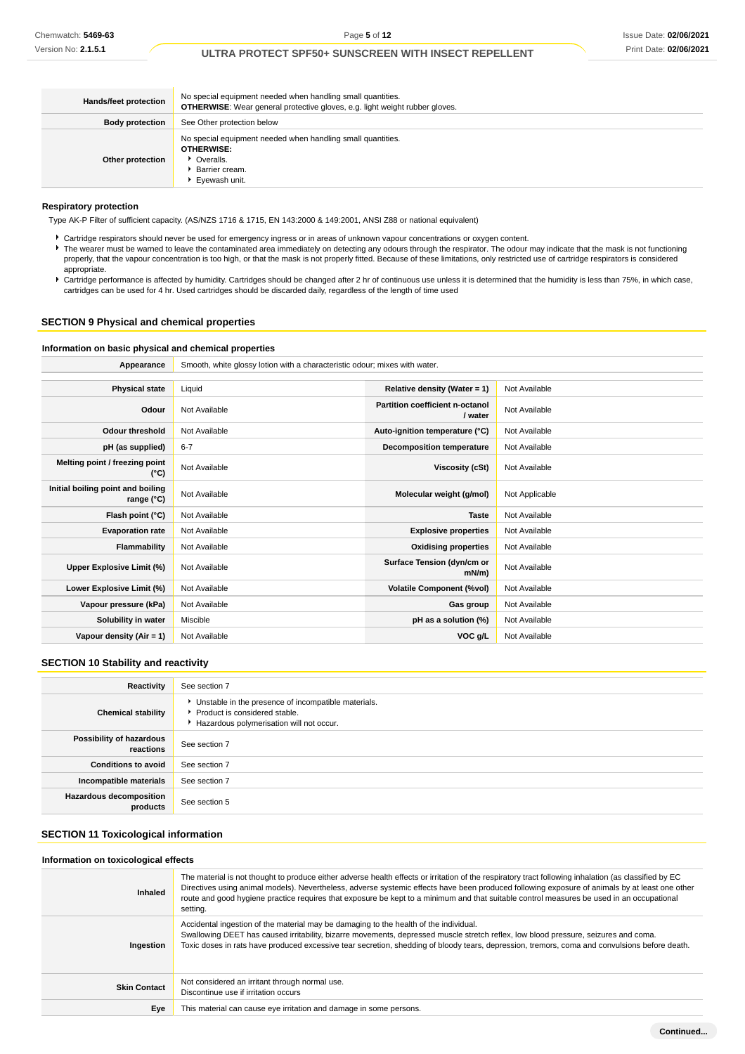| Hands/feet protection  | No special equipment needed when handling small quantities.<br><b>OTHERWISE:</b> Wear general protective gloves, e.g. light weight rubber gloves. |
|------------------------|---------------------------------------------------------------------------------------------------------------------------------------------------|
| <b>Body protection</b> | See Other protection below                                                                                                                        |
| Other protection       | No special equipment needed when handling small quantities.<br><b>OTHERWISE:</b><br>▶ Overalls.<br>Barrier cream.<br>Eyewash unit.                |

#### **Respiratory protection**

Type AK-P Filter of sufficient capacity. (AS/NZS 1716 & 1715, EN 143:2000 & 149:2001, ANSI Z88 or national equivalent)

- Cartridge respirators should never be used for emergency ingress or in areas of unknown vapour concentrations or oxygen content.
- ▶ The wearer must be warned to leave the contaminated area immediately on detecting any odours through the respirator. The odour may indicate that the mask is not functioning properly, that the vapour concentration is too high, or that the mask is not properly fitted. Because of these limitations, only restricted use of cartridge respirators is considered appropriate.
- Cartridge performance is affected by humidity. Cartridges should be changed after 2 hr of continuous use unless it is determined that the humidity is less than 75%, in which case, cartridges can be used for 4 hr. Used cartridges should be discarded daily, regardless of the length of time used

# **SECTION 9 Physical and chemical properties**

### **Information on basic physical and chemical properties**

**Appearance** Smooth, white glossy lotion with a characteristic odour; mixes with water.

| <b>Physical state</b>                             | Liquid        | Relative density (Water = $1$ )            | Not Available  |
|---------------------------------------------------|---------------|--------------------------------------------|----------------|
| Odour                                             | Not Available | Partition coefficient n-octanol<br>/ water | Not Available  |
| Odour threshold                                   | Not Available | Auto-ignition temperature (°C)             | Not Available  |
| pH (as supplied)                                  | $6 - 7$       | <b>Decomposition temperature</b>           | Not Available  |
| Melting point / freezing point<br>(°C)            | Not Available | Viscosity (cSt)                            | Not Available  |
| Initial boiling point and boiling<br>range $(°C)$ | Not Available | Molecular weight (g/mol)                   | Not Applicable |
| Flash point (°C)                                  | Not Available | <b>Taste</b>                               | Not Available  |
| <b>Evaporation rate</b>                           | Not Available | <b>Explosive properties</b>                | Not Available  |
| Flammability                                      | Not Available | <b>Oxidising properties</b>                | Not Available  |
| Upper Explosive Limit (%)                         | Not Available | Surface Tension (dyn/cm or<br>$mN/m$ )     | Not Available  |
| Lower Explosive Limit (%)                         | Not Available | <b>Volatile Component (%vol)</b>           | Not Available  |
| Vapour pressure (kPa)                             | Not Available | Gas group                                  | Not Available  |
| Solubility in water                               | Miscible      | pH as a solution (%)                       | Not Available  |
| Vapour density $(Air = 1)$                        | Not Available | VOC g/L                                    | Not Available  |

# **SECTION 10 Stability and reactivity**

| Reactivity                                 | See section 7                                                                                                                        |
|--------------------------------------------|--------------------------------------------------------------------------------------------------------------------------------------|
| <b>Chemical stability</b>                  | • Unstable in the presence of incompatible materials.<br>▶ Product is considered stable.<br>Hazardous polymerisation will not occur. |
| Possibility of hazardous<br>reactions      | See section 7                                                                                                                        |
| <b>Conditions to avoid</b>                 | See section 7                                                                                                                        |
| Incompatible materials                     | See section 7                                                                                                                        |
| <b>Hazardous decomposition</b><br>products | See section 5                                                                                                                        |

# **SECTION 11 Toxicological information**

#### **Information on toxicological effects**

| Inhaled             | The material is not thought to produce either adverse health effects or irritation of the respiratory tract following inhalation (as classified by EC<br>Directives using animal models). Nevertheless, adverse systemic effects have been produced following exposure of animals by at least one other<br>route and good hygiene practice requires that exposure be kept to a minimum and that suitable control measures be used in an occupational<br>setting. |
|---------------------|------------------------------------------------------------------------------------------------------------------------------------------------------------------------------------------------------------------------------------------------------------------------------------------------------------------------------------------------------------------------------------------------------------------------------------------------------------------|
| Ingestion           | Accidental ingestion of the material may be damaging to the health of the individual.<br>Swallowing DEET has caused irritability, bizarre movements, depressed muscle stretch reflex, low blood pressure, seizures and coma.<br>Toxic doses in rats have produced excessive tear secretion, shedding of bloody tears, depression, tremors, coma and convulsions before death.                                                                                    |
| <b>Skin Contact</b> | Not considered an irritant through normal use.<br>Discontinue use if irritation occurs                                                                                                                                                                                                                                                                                                                                                                           |
| Eye                 | This material can cause eye irritation and damage in some persons.                                                                                                                                                                                                                                                                                                                                                                                               |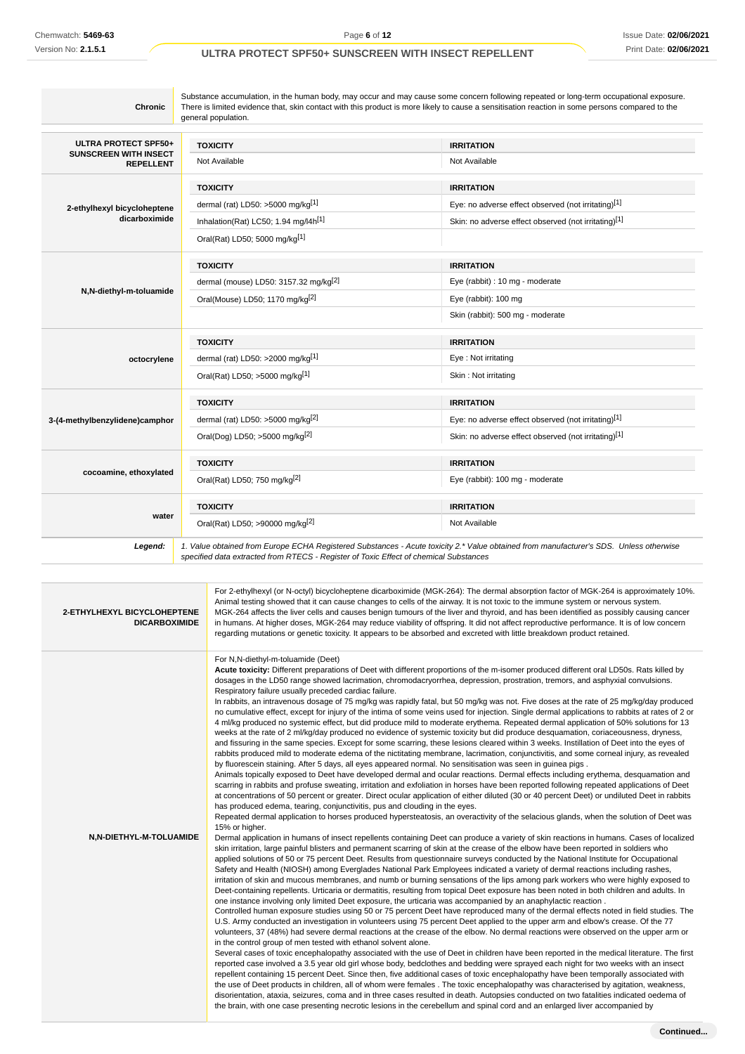Page **6** of **12**

# **ULTRA PROTECT SPF50+ SUNSCREEN WITH INSECT REPELLENT**

| <b>Chronic</b>                                   | general population.                               | Substance accumulation, in the human body, may occur and may cause some concern following repeated or long-term occupational exposure.<br>There is limited evidence that, skin contact with this product is more likely to cause a sensitisation reaction in some persons compared to the |
|--------------------------------------------------|---------------------------------------------------|-------------------------------------------------------------------------------------------------------------------------------------------------------------------------------------------------------------------------------------------------------------------------------------------|
| ULTRA PROTECT SPF50+                             | <b>TOXICITY</b>                                   | <b>IRRITATION</b>                                                                                                                                                                                                                                                                         |
| <b>SUNSCREEN WITH INSECT</b><br><b>REPELLENT</b> | Not Available                                     | Not Available                                                                                                                                                                                                                                                                             |
|                                                  | <b>TOXICITY</b>                                   | <b>IRRITATION</b>                                                                                                                                                                                                                                                                         |
| 2-ethylhexyl bicycloheptene                      | dermal (rat) LD50: $>5000$ mg/kg <sup>[1]</sup>   | Eye: no adverse effect observed (not irritating)[1]                                                                                                                                                                                                                                       |
| dicarboximide                                    | Inhalation(Rat) LC50; 1.94 mg/l4h <sup>[1]</sup>  | Skin: no adverse effect observed (not irritating)[1]                                                                                                                                                                                                                                      |
|                                                  | Oral(Rat) LD50; 5000 mg/kg[1]                     |                                                                                                                                                                                                                                                                                           |
|                                                  | <b>TOXICITY</b>                                   | <b>IRRITATION</b>                                                                                                                                                                                                                                                                         |
|                                                  | dermal (mouse) LD50: 3157.32 mg/kg <sup>[2]</sup> | Eye (rabbit) : 10 mg - moderate                                                                                                                                                                                                                                                           |
| N,N-diethyl-m-toluamide                          | Oral(Mouse) LD50; 1170 mg/kg <sup>[2]</sup>       | Eye (rabbit): 100 mg                                                                                                                                                                                                                                                                      |
|                                                  |                                                   | Skin (rabbit): 500 mg - moderate                                                                                                                                                                                                                                                          |
|                                                  | <b>TOXICITY</b>                                   | <b>IRRITATION</b>                                                                                                                                                                                                                                                                         |
| octocrylene                                      | dermal (rat) LD50: >2000 mg/kg <sup>[1]</sup>     | Eye: Not irritating                                                                                                                                                                                                                                                                       |
|                                                  | Oral(Rat) LD50; >5000 mg/kg[1]                    | Skin: Not irritating                                                                                                                                                                                                                                                                      |
|                                                  | <b>TOXICITY</b>                                   | <b>IRRITATION</b>                                                                                                                                                                                                                                                                         |
| 3-(4-methylbenzylidene)camphor                   | dermal (rat) LD50: >5000 mg/kg <sup>[2]</sup>     | Eye: no adverse effect observed (not irritating)[1]                                                                                                                                                                                                                                       |
|                                                  | Oral(Dog) LD50; >5000 mg/kg <sup>[2]</sup>        | Skin: no adverse effect observed (not irritating)[1]                                                                                                                                                                                                                                      |
|                                                  | <b>TOXICITY</b>                                   | <b>IRRITATION</b>                                                                                                                                                                                                                                                                         |
| cocoamine, ethoxylated                           | Oral(Rat) LD50; 750 mg/kg <sup>[2]</sup>          | Eye (rabbit): 100 mg - moderate                                                                                                                                                                                                                                                           |
|                                                  | <b>TOXICITY</b>                                   | <b>IRRITATION</b>                                                                                                                                                                                                                                                                         |
| water                                            | Oral(Rat) LD50; >90000 mg/kg <sup>[2]</sup>       | Not Available                                                                                                                                                                                                                                                                             |
| Legend:                                          |                                                   | 1. Value obtained from Europe ECHA Registered Substances - Acute toxicity 2.* Value obtained from manufacturer's SDS. Unless otherwise                                                                                                                                                    |

| 2-ETHYLHEXYL BICYCLOHEPTENE<br><b>DICARBOXIMIDE</b> | For 2-ethylhexyl (or N-octyl) bicycloheptene dicarboximide (MGK-264): The dermal absorption factor of MGK-264 is approximately 10%.<br>Animal testing showed that it can cause changes to cells of the airway. It is not toxic to the immune system or nervous system.<br>MGK-264 affects the liver cells and causes benign tumours of the liver and thyroid, and has been identified as possibly causing cancer<br>in humans. At higher doses, MGK-264 may reduce viability of offspring. It did not affect reproductive performance. It is of low concern<br>regarding mutations or genetic toxicity. It appears to be absorbed and excreted with little breakdown product retained.                                                                                                                                                                                                                                                                                                                                                                                                                                                                                                                                                                                                                                                                                                                                                                                                                                                                                                                                                                                                                                                                                                                                                                                                                                                                                                                                                                                                                                                                                                                                                                                                                                                                                                                                                                                                                                                                                                                                                                                                                                                                                                                                                                                                                                                                                                                                                                                                                                                                                                                                                                                                                                                                                                                                                                                                                                                                                                                                                                                                                                                                                                                                                                                                                                                                                                                                                                                                                                                                                                                                                                                                                                   |
|-----------------------------------------------------|--------------------------------------------------------------------------------------------------------------------------------------------------------------------------------------------------------------------------------------------------------------------------------------------------------------------------------------------------------------------------------------------------------------------------------------------------------------------------------------------------------------------------------------------------------------------------------------------------------------------------------------------------------------------------------------------------------------------------------------------------------------------------------------------------------------------------------------------------------------------------------------------------------------------------------------------------------------------------------------------------------------------------------------------------------------------------------------------------------------------------------------------------------------------------------------------------------------------------------------------------------------------------------------------------------------------------------------------------------------------------------------------------------------------------------------------------------------------------------------------------------------------------------------------------------------------------------------------------------------------------------------------------------------------------------------------------------------------------------------------------------------------------------------------------------------------------------------------------------------------------------------------------------------------------------------------------------------------------------------------------------------------------------------------------------------------------------------------------------------------------------------------------------------------------------------------------------------------------------------------------------------------------------------------------------------------------------------------------------------------------------------------------------------------------------------------------------------------------------------------------------------------------------------------------------------------------------------------------------------------------------------------------------------------------------------------------------------------------------------------------------------------------------------------------------------------------------------------------------------------------------------------------------------------------------------------------------------------------------------------------------------------------------------------------------------------------------------------------------------------------------------------------------------------------------------------------------------------------------------------------------------------------------------------------------------------------------------------------------------------------------------------------------------------------------------------------------------------------------------------------------------------------------------------------------------------------------------------------------------------------------------------------------------------------------------------------------------------------------------------------------------------------------------------------------------------------------------------------------------------------------------------------------------------------------------------------------------------------------------------------------------------------------------------------------------------------------------------------------------------------------------------------------------------------------------------------------------------------------------------------------------------------------------------------------------------------|
| N,N-DIETHYL-M-TOLUAMIDE                             | For N,N-diethyl-m-toluamide (Deet)<br>Acute toxicity: Different preparations of Deet with different proportions of the m-isomer produced different oral LD50s. Rats killed by<br>dosages in the LD50 range showed lacrimation, chromodacryorrhea, depression, prostration, tremors, and asphyxial convulsions.<br>Respiratory failure usually preceded cardiac failure.<br>In rabbits, an intravenous dosage of 75 mg/kg was rapidly fatal, but 50 mg/kg was not. Five doses at the rate of 25 mg/kg/day produced<br>no cumulative effect, except for injury of the intima of some veins used for injection. Single dermal applications to rabbits at rates of 2 or<br>4 ml/kg produced no systemic effect, but did produce mild to moderate erythema. Repeated dermal application of 50% solutions for 13<br>weeks at the rate of 2 ml/kg/day produced no evidence of systemic toxicity but did produce desquamation, coriaceousness, dryness,<br>and fissuring in the same species. Except for some scarring, these lesions cleared within 3 weeks. Instillation of Deet into the eyes of<br>rabbits produced mild to moderate edema of the nictitating membrane, lacrimation, conjunctivitis, and some corneal injury, as revealed<br>by fluorescein staining. After 5 days, all eyes appeared normal. No sensitisation was seen in guinea pigs.<br>Animals topically exposed to Deet have developed dermal and ocular reactions. Dermal effects including erythema, desquamation and<br>scarring in rabbits and profuse sweating, irritation and exfoliation in horses have been reported following repeated applications of Deet<br>at concentrations of 50 percent or greater. Direct ocular application of either diluted (30 or 40 percent Deet) or undiluted Deet in rabbits<br>has produced edema, tearing, conjunctivitis, pus and clouding in the eyes.<br>Repeated dermal application to horses produced hypersteatosis, an overactivity of the selacious glands, when the solution of Deet was<br>15% or higher.<br>Dermal application in humans of insect repellents containing Deet can produce a variety of skin reactions in humans. Cases of localized<br>skin irritation, large painful blisters and permanent scarring of skin at the crease of the elbow have been reported in soldiers who<br>applied solutions of 50 or 75 percent Deet. Results from questionnaire surveys conducted by the National Institute for Occupational<br>Safety and Health (NIOSH) among Everglades National Park Employees indicated a variety of dermal reactions including rashes,<br>irritation of skin and mucous membranes, and numb or burning sensations of the lips among park workers who were highly exposed to<br>Deet-containing repellents. Urticaria or dermatitis, resulting from topical Deet exposure has been noted in both children and adults. In<br>one instance involving only limited Deet exposure, the urticaria was accompanied by an anaphylactic reaction.<br>Controlled human exposure studies using 50 or 75 percent Deet have reproduced many of the dermal effects noted in field studies. The<br>U.S. Army conducted an investigation in volunteers using 75 percent Deet applied to the upper arm and elbow's crease. Of the 77<br>volunteers, 37 (48%) had severe dermal reactions at the crease of the elbow. No dermal reactions were observed on the upper arm or<br>in the control group of men tested with ethanol solvent alone.<br>Several cases of toxic encephalopathy associated with the use of Deet in children have been reported in the medical literature. The first<br>reported case involved a 3.5 year old girl whose body, bedclothes and bedding were sprayed each night for two weeks with an insect<br>repellent containing 15 percent Deet. Since then, five additional cases of toxic encephalopathy have been temporally associated with<br>the use of Deet products in children, all of whom were females . The toxic encephalopathy was characterised by agitation, weakness,<br>disorientation, ataxia, seizures, coma and in three cases resulted in death. Autopsies conducted on two fatalities indicated oedema of<br>the brain, with one case presenting necrotic lesions in the cerebellum and spinal cord and an enlarged liver accompanied by |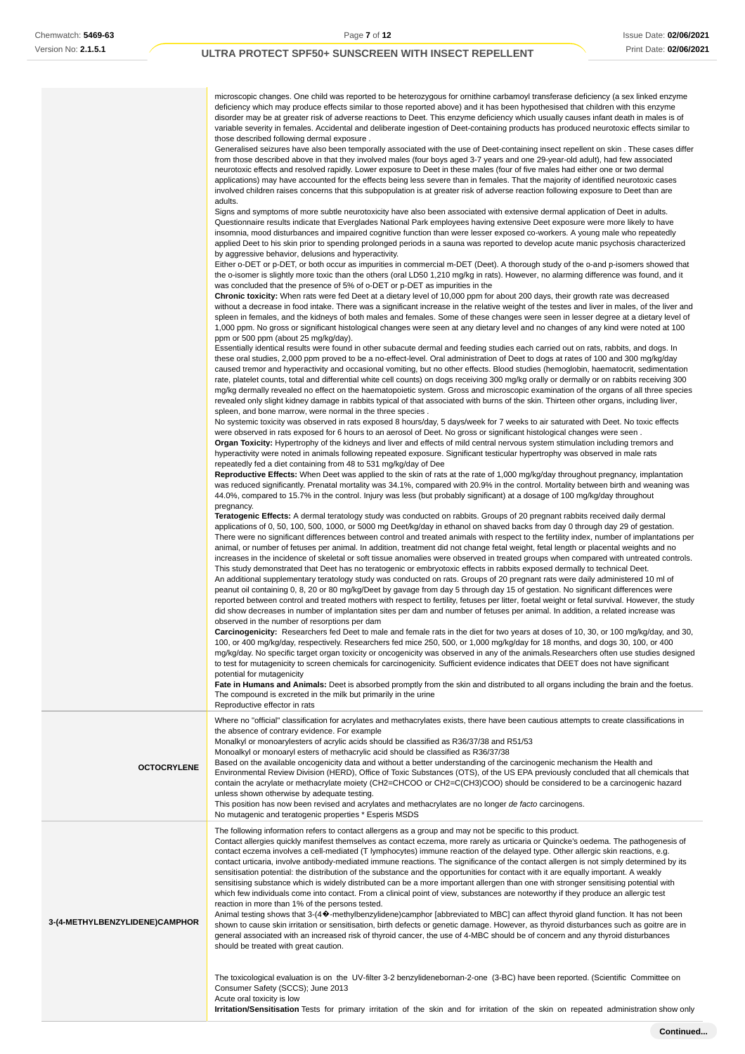microscopic changes. One child was reported to be heterozygous for ornithine carbamoyl transferase deficiency (a sex linked enzyme deficiency which may produce effects similar to those reported above) and it has been hypothesised that children with this enzyme disorder may be at greater risk of adverse reactions to Deet. This enzyme deficiency which usually causes infant death in males is of variable severity in females. Accidental and deliberate ingestion of Deet-containing products has produced neurotoxic effects similar to those described following dermal exposure .

Generalised seizures have also been temporally associated with the use of Deet-containing insect repellent on skin . These cases differ from those described above in that they involved males (four boys aged 3-7 years and one 29-year-old adult), had few associated neurotoxic effects and resolved rapidly. Lower exposure to Deet in these males (four of five males had either one or two dermal applications) may have accounted for the effects being less severe than in females. That the majority of identified neurotoxic cases involved children raises concerns that this subpopulation is at greater risk of adverse reaction following exposure to Deet than are adults.

Signs and symptoms of more subtle neurotoxicity have also been associated with extensive dermal application of Deet in adults. Questionnaire results indicate that Everglades National Park employees having extensive Deet exposure were more likely to have insomnia, mood disturbances and impaired cognitive function than were lesser exposed co-workers. A young male who repeatedly applied Deet to his skin prior to spending prolonged periods in a sauna was reported to develop acute manic psychosis characterized by aggressive behavior, delusions and hyperactivity.

Either o-DET or p-DET, or both occur as impurities in commercial m-DET (Deet). A thorough study of the o-and p-isomers showed that the o-isomer is slightly more toxic than the others (oral LD50 1,210 mg/kg in rats). However, no alarming difference was found, and it was concluded that the presence of 5% of o-DET or p-DET as impurities in the

**Chronic toxicity:** When rats were fed Deet at a dietary level of 10,000 ppm for about 200 days, their growth rate was decreased without a decrease in food intake. There was a significant increase in the relative weight of the testes and liver in males, of the liver and spleen in females, and the kidneys of both males and females. Some of these changes were seen in lesser degree at a dietary level of 1,000 ppm. No gross or significant histological changes were seen at any dietary level and no changes of any kind were noted at 100 ppm or 500 ppm (about 25 mg/kg/day).

| Essentially identical results were found in other subacute dermal and feeding studies each carried out on rats, rabbits, and dogs. In       |
|---------------------------------------------------------------------------------------------------------------------------------------------|
| these oral studies, 2,000 ppm proved to be a no-effect-level. Oral administration of Deet to dogs at rates of 100 and 300 mg/kg/day         |
| caused tremor and hyperactivity and occasional vomiting, but no other effects. Blood studies (hemoglobin, haematocrit, sedimentation        |
| rate, platelet counts, total and differential white cell counts) on dogs receiving 300 mg/kg orally or dermally or on rabbits receiving 300 |
| mg/kg dermally revealed no effect on the haematopoietic system. Gross and microscopic examination of the organs of all three species        |
| revealed only slight kidney damage in rabbits typical of that associated with burns of the skin. Thirteen other organs, including liver,    |
| spleen, and bone marrow, were normal in the three species.                                                                                  |

No systemic toxicity was observed in rats exposed 8 hours/day, 5 days/week for 7 weeks to air saturated with Deet. No toxic effects were observed in rats exposed for 6 hours to an aerosol of Deet. No gross or significant histological changes were seen . **Organ Toxicity:** Hypertrophy of the kidneys and liver and effects of mild central nervous system stimulation including tremors and hyperactivity were noted in animals following repeated exposure. Significant testicular hypertrophy was observed in male rats repeatedly fed a diet containing from 48 to 531 mg/kg/day of Dee

**Reproductive Effects:** When Deet was applied to the skin of rats at the rate of 1,000 mg/kg/day throughout pregnancy, implantation was reduced significantly. Prenatal mortality was 34.1%, compared with 20.9% in the control. Mortality between birth and weaning was 44.0%, compared to 15.7% in the control. Injury was less (but probably significant) at a dosage of 100 mg/kg/day throughout pregnancy.

**Teratogenic Effects:** A dermal teratology study was conducted on rabbits. Groups of 20 pregnant rabbits received daily dermal applications of 0, 50, 100, 500, 1000, or 5000 mg Deet/kg/day in ethanol on shaved backs from day 0 through day 29 of gestation. There were no significant differences between control and treated animals with respect to the fertility index, number of implantations per animal, or number of fetuses per animal. In addition, treatment did not change fetal weight, fetal length or placental weights and no increases in the incidence of skeletal or soft tissue anomalies were observed in treated groups when compared with untreated controls. This study demonstrated that Deet has no teratogenic or embryotoxic effects in rabbits exposed dermally to technical Deet. An additional supplementary teratology study was conducted on rats. Groups of 20 pregnant rats were daily administered 10 ml of peanut oil containing 0, 8, 20 or 80 mg/kg/Deet by gavage from day 5 through day 15 of gestation. No significant differences were reported between control and treated mothers with respect to fertility, fetuses per litter, foetal weight or fetal survival. However, the study did show decreases in number of implantation sites per dam and number of fetuses per animal. In addition, a related increase was observed in the number of resorptions per dam

**Carcinogenicity:** Researchers fed Deet to male and female rats in the diet for two years at doses of 10, 30, or 100 mg/kg/day, and 30, 100, or 400 mg/kg/day, respectively. Researchers fed mice 250, 500, or 1,000 mg/kg/day for 18 months, and dogs 30, 100, or 400 mg/kg/day. No specific target organ toxicity or oncogenicity was observed in any of the animals.Researchers often use studies designed to test for mutagenicity to screen chemicals for carcinogenicity. Sufficient evidence indicates that DEET does not have significant potential for mutagenicity

**Fate in Humans and Animals:** Deet is absorbed promptly from the skin and distributed to all organs including the brain and the foetus. The compound is excreted in the milk but primarily in the urine

Reproductive effector in rats

**OCTOCRYLENE** Where no "official" classification for acrylates and methacrylates exists, there have been cautious attempts to create classifications in the absence of contrary evidence. For example Monalkyl or monoarylesters of acrylic acids should be classified as R36/37/38 and R51/53 Monoalkyl or monoaryl esters of methacrylic acid should be classified as R36/37/38 Based on the available oncogenicity data and without a better understanding of the carcinogenic mechanism the Health and Environmental Review Division (HERD), Office of Toxic Substances (OTS), of the US EPA previously concluded that all chemicals that contain the acrylate or methacrylate moiety (CH2=CHCOO or CH2=C(CH3)COO) should be considered to be a carcinogenic hazard unless shown otherwise by adequate testing. This position has now been revised and acrylates and methacrylates are no longer de facto carcinogens. No mutagenic and teratogenic properties \* Esperis MSDS The following information refers to contact allergens as a group and may not be specific to this product.

Contact allergies quickly manifest themselves as contact eczema, more rarely as urticaria or Quincke's oedema. The pathogenesis of contact eczema involves a cell-mediated (T lymphocytes) immune reaction of the delayed type. Other allergic skin reactions, e.g. contact urticaria, involve antibody-mediated immune reactions. The significance of the contact allergen is not simply determined by its sensitisation potential: the distribution of the substance and the opportunities for contact with it are equally important. A weakly sensitising substance which is widely distributed can be a more important allergen than one with stronger sensitising potential with which few individuals come into contact. From a clinical point of view, substances are noteworthy if they produce an allergic test reaction in more than 1% of the persons tested.

**3-(4-METHYLBENZYLIDENE)CAMPHOR**

Animal testing shows that 3-(4�-methylbenzylidene)camphor [abbreviated to MBC] can affect thyroid gland function. It has not been shown to cause skin irritation or sensitisation, birth defects or genetic damage. However, as thyroid disturbances such as goitre are in general associated with an increased risk of thyroid cancer, the use of 4-MBC should be of concern and any thyroid disturbances should be treated with great caution.

The toxicological evaluation is on the UV-filter 3-2 benzylidenebornan-2-one (3-BC) have been reported. (Scientific Committee on Consumer Safety (SCCS); June 2013 Acute oral toxicity is low

**Irritation/Sensitisation** Tests for primary irritation of the skin and for irritation of the skin on repeated administration show only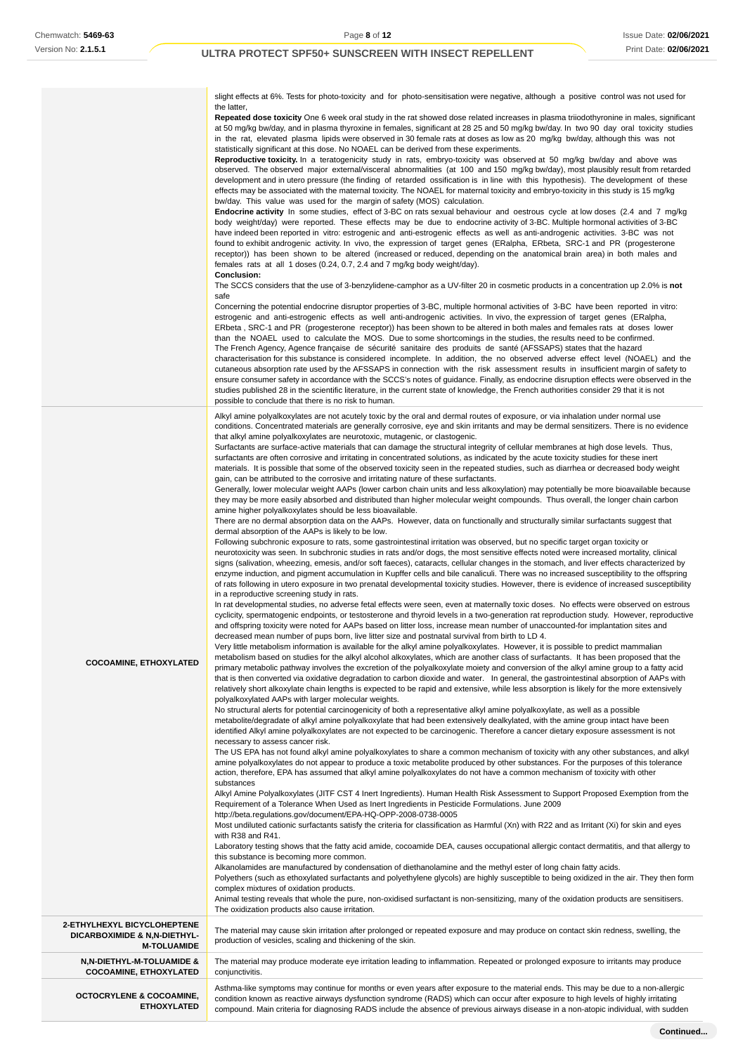|                                                            | slight effects at 6%. Tests for photo-toxicity and for photo-sensitisation were negative, although a positive control was not used for                                                                                                                                                                                                                                                                                                                                                                                                                                                                                                                                                                                                                                                                                                                                                                                                                                                                                                                                                                                                                                                                                                                        |
|------------------------------------------------------------|---------------------------------------------------------------------------------------------------------------------------------------------------------------------------------------------------------------------------------------------------------------------------------------------------------------------------------------------------------------------------------------------------------------------------------------------------------------------------------------------------------------------------------------------------------------------------------------------------------------------------------------------------------------------------------------------------------------------------------------------------------------------------------------------------------------------------------------------------------------------------------------------------------------------------------------------------------------------------------------------------------------------------------------------------------------------------------------------------------------------------------------------------------------------------------------------------------------------------------------------------------------|
|                                                            | the latter,<br>Repeated dose toxicity One 6 week oral study in the rat showed dose related increases in plasma triiodothyronine in males, significant<br>at 50 mg/kg bw/day, and in plasma thyroxine in females, significant at 28 25 and 50 mg/kg bw/day. In two 90 day oral toxicity studies<br>in the rat, elevated plasma lipids were observed in 30 female rats at doses as low as 20 mg/kg bw/day, although this was not<br>statistically significant at this dose. No NOAEL can be derived from these experiments.<br>Reproductive toxicity. In a teratogenicity study in rats, embryo-toxicity was observed at 50 mg/kg bw/day and above was                                                                                                                                                                                                                                                                                                                                                                                                                                                                                                                                                                                                          |
|                                                            | observed. The observed major external/visceral abnormalities (at 100 and 150 mg/kg bw/day), most plausibly result from retarded<br>development and in utero pressure (the finding of retarded ossification is in line with this hypothesis). The development of these<br>effects may be associated with the maternal toxicity. The NOAEL for maternal toxicity and embryo-toxicity in this study is 15 mg/kg                                                                                                                                                                                                                                                                                                                                                                                                                                                                                                                                                                                                                                                                                                                                                                                                                                                  |
|                                                            | bw/day. This value was used for the margin of safety (MOS) calculation.<br>Endocrine activity In some studies, effect of 3-BC on rats sexual behaviour and oestrous cycle at low doses (2.4 and 7 mg/kg<br>body weight/day) were reported. These effects may be due to endocrine activity of 3-BC. Multiple hormonal activities of 3-BC<br>have indeed been reported in vitro: estrogenic and anti-estrogenic effects as well as anti-androgenic activities. 3-BC was not<br>found to exhibit androgenic activity. In vivo, the expression of target genes (ERalpha, ERbeta, SRC-1 and PR (progesterone<br>receptor)) has been shown to be altered (increased or reduced, depending on the anatomical brain area) in both males and<br>females rats at all 1 doses (0.24, 0.7, 2.4 and 7 mg/kg body weight/day).<br>Conclusion:                                                                                                                                                                                                                                                                                                                                                                                                                               |
|                                                            | The SCCS considers that the use of 3-benzylidene-camphor as a UV-filter 20 in cosmetic products in a concentration up 2.0% is not<br>safe                                                                                                                                                                                                                                                                                                                                                                                                                                                                                                                                                                                                                                                                                                                                                                                                                                                                                                                                                                                                                                                                                                                     |
|                                                            | Concerning the potential endocrine disruptor properties of 3-BC, multiple hormonal activities of 3-BC have been reported in vitro:<br>estrogenic and anti-estrogenic effects as well anti-androgenic activities. In vivo, the expression of target genes (ERalpha,<br>ERbeta, SRC-1 and PR (progesterone receptor)) has been shown to be altered in both males and females rats at doses lower<br>than the NOAEL used to calculate the MOS. Due to some shortcomings in the studies, the results need to be confirmed.<br>The French Agency, Agence française de sécurité sanitaire des produits de santé (AFSSAPS) states that the hazard<br>characterisation for this substance is considered incomplete. In addition, the no observed adverse effect level (NOAEL) and the<br>cutaneous absorption rate used by the AFSSAPS in connection with the risk assessment results in insufficient margin of safety to<br>ensure consumer safety in accordance with the SCCS's notes of guidance. Finally, as endocrine disruption effects were observed in the<br>studies published 28 in the scientific literature, in the current state of knowledge, the French authorities consider 29 that it is not<br>possible to conclude that there is no risk to human. |
|                                                            | Alkyl amine polyalkoxylates are not acutely toxic by the oral and dermal routes of exposure, or via inhalation under normal use<br>conditions. Concentrated materials are generally corrosive, eye and skin irritants and may be dermal sensitizers. There is no evidence<br>that alkyl amine polyalkoxylates are neurotoxic, mutagenic, or clastogenic.                                                                                                                                                                                                                                                                                                                                                                                                                                                                                                                                                                                                                                                                                                                                                                                                                                                                                                      |
|                                                            | Surfactants are surface-active materials that can damage the structural integrity of cellular membranes at high dose levels. Thus,<br>surfactants are often corrosive and irritating in concentrated solutions, as indicated by the acute toxicity studies for these inert<br>materials. It is possible that some of the observed toxicity seen in the repeated studies, such as diarrhea or decreased body weight<br>gain, can be attributed to the corrosive and irritating nature of these surfactants.<br>Generally, lower molecular weight AAPs (lower carbon chain units and less alkoxylation) may potentially be more bioavailable because<br>they may be more easily absorbed and distributed than higher molecular weight compounds. Thus overall, the longer chain carbon<br>amine higher polyalkoxylates should be less bioavailable.<br>There are no dermal absorption data on the AAPs. However, data on functionally and structurally similar surfactants suggest that                                                                                                                                                                                                                                                                         |
|                                                            | dermal absorption of the AAPs is likely to be low.<br>Following subchronic exposure to rats, some gastrointestinal irritation was observed, but no specific target organ toxicity or<br>neurotoxicity was seen. In subchronic studies in rats and/or dogs, the most sensitive effects noted were increased mortality, clinical<br>signs (salivation, wheezing, emesis, and/or soft faeces), cataracts, cellular changes in the stomach, and liver effects characterized by<br>enzyme induction, and pigment accumulation in Kupffer cells and bile canaliculi. There was no increased susceptibility to the offspring<br>of rats following in utero exposure in two prenatal developmental toxicity studies. However, there is evidence of increased susceptibility<br>in a reproductive screening study in rats.                                                                                                                                                                                                                                                                                                                                                                                                                                             |
|                                                            | In rat developmental studies, no adverse fetal effects were seen, even at maternally toxic doses. No effects were observed on estrous<br>cyclicity, spermatogenic endpoints, or testosterone and thyroid levels in a two-generation rat reproduction study. However, reproductive<br>and offspring toxicity were noted for AAPs based on litter loss, increase mean number of unaccounted-for implantation sites and<br>decreased mean number of pups born, live litter size and postnatal survival from birth to LD 4.                                                                                                                                                                                                                                                                                                                                                                                                                                                                                                                                                                                                                                                                                                                                       |
| <b>COCOAMINE, ETHOXYLATED</b>                              | Very little metabolism information is available for the alkyl amine polyalkoxylates. However, it is possible to predict mammalian<br>metabolism based on studies for the alkyl alcohol alkoxylates, which are another class of surfactants. It has been proposed that the<br>primary metabolic pathway involves the excretion of the polyalkoxylate moiety and conversion of the alkyl amine group to a fatty acid<br>that is then converted via oxidative degradation to carbon dioxide and water. In general, the gastrointestinal absorption of AAPs with<br>relatively short alkoxylate chain lengths is expected to be rapid and extensive, while less absorption is likely for the more extensively<br>polyalkoxylated AAPs with larger molecular weights.                                                                                                                                                                                                                                                                                                                                                                                                                                                                                              |
|                                                            | No structural alerts for potential carcinogenicity of both a representative alkyl amine polyalkoxylate, as well as a possible<br>metabolite/degradate of alkyl amine polyalkoxylate that had been extensively dealkylated, with the amine group intact have been<br>identified Alkyl amine polyalkoxylates are not expected to be carcinogenic. Therefore a cancer dietary exposure assessment is not<br>necessary to assess cancer risk.                                                                                                                                                                                                                                                                                                                                                                                                                                                                                                                                                                                                                                                                                                                                                                                                                     |
|                                                            | The US EPA has not found alkyl amine polyalkoxylates to share a common mechanism of toxicity with any other substances, and alkyl<br>amine polyalkoxylates do not appear to produce a toxic metabolite produced by other substances. For the purposes of this tolerance<br>action, therefore, EPA has assumed that alkyl amine polyalkoxylates do not have a common mechanism of toxicity with other<br>substances                                                                                                                                                                                                                                                                                                                                                                                                                                                                                                                                                                                                                                                                                                                                                                                                                                            |
|                                                            | Alkyl Amine Polyalkoxylates (JITF CST 4 Inert Ingredients). Human Health Risk Assessment to Support Proposed Exemption from the<br>Requirement of a Tolerance When Used as Inert Ingredients in Pesticide Formulations. June 2009<br>http://beta.regulations.gov/document/EPA-HQ-OPP-2008-0738-0005                                                                                                                                                                                                                                                                                                                                                                                                                                                                                                                                                                                                                                                                                                                                                                                                                                                                                                                                                           |
|                                                            | Most undiluted cationic surfactants satisfy the criteria for classification as Harmful (Xn) with R22 and as Irritant (Xi) for skin and eyes<br>with R38 and R41.                                                                                                                                                                                                                                                                                                                                                                                                                                                                                                                                                                                                                                                                                                                                                                                                                                                                                                                                                                                                                                                                                              |
|                                                            | Laboratory testing shows that the fatty acid amide, cocoamide DEA, causes occupational allergic contact dermatitis, and that allergy to<br>this substance is becoming more common.<br>Alkanolamides are manufactured by condensation of diethanolamine and the methyl ester of long chain fatty acids.<br>Polyethers (such as ethoxylated surfactants and polyethylene glycols) are highly susceptible to being oxidized in the air. They then form<br>complex mixtures of oxidation products.<br>Animal testing reveals that whole the pure, non-oxidised surfactant is non-sensitizing, many of the oxidation products are sensitisers.                                                                                                                                                                                                                                                                                                                                                                                                                                                                                                                                                                                                                     |
| 2-ETHYLHEXYL BICYCLOHEPTENE                                | The oxidization products also cause irritation.                                                                                                                                                                                                                                                                                                                                                                                                                                                                                                                                                                                                                                                                                                                                                                                                                                                                                                                                                                                                                                                                                                                                                                                                               |
| DICARBOXIMIDE & N,N-DIETHYL-<br><b>M-TOLUAMIDE</b>         | The material may cause skin irritation after prolonged or repeated exposure and may produce on contact skin redness, swelling, the<br>production of vesicles, scaling and thickening of the skin.                                                                                                                                                                                                                                                                                                                                                                                                                                                                                                                                                                                                                                                                                                                                                                                                                                                                                                                                                                                                                                                             |
| N,N-DIETHYL-M-TOLUAMIDE &<br><b>COCOAMINE, ETHOXYLATED</b> | The material may produce moderate eye irritation leading to inflammation. Repeated or prolonged exposure to irritants may produce<br>conjunctivitis.                                                                                                                                                                                                                                                                                                                                                                                                                                                                                                                                                                                                                                                                                                                                                                                                                                                                                                                                                                                                                                                                                                          |
| <b>OCTOCRYLENE &amp; COCOAMINE,</b><br><b>ETHOXYLATED</b>  | Asthma-like symptoms may continue for months or even years after exposure to the material ends. This may be due to a non-allergic<br>condition known as reactive airways dysfunction syndrome (RADS) which can occur after exposure to high levels of highly irritating<br>compound. Main criteria for diagnosing RADS include the absence of previous airways disease in a non-atopic individual, with sudden                                                                                                                                                                                                                                                                                                                                                                                                                                                                                                                                                                                                                                                                                                                                                                                                                                                |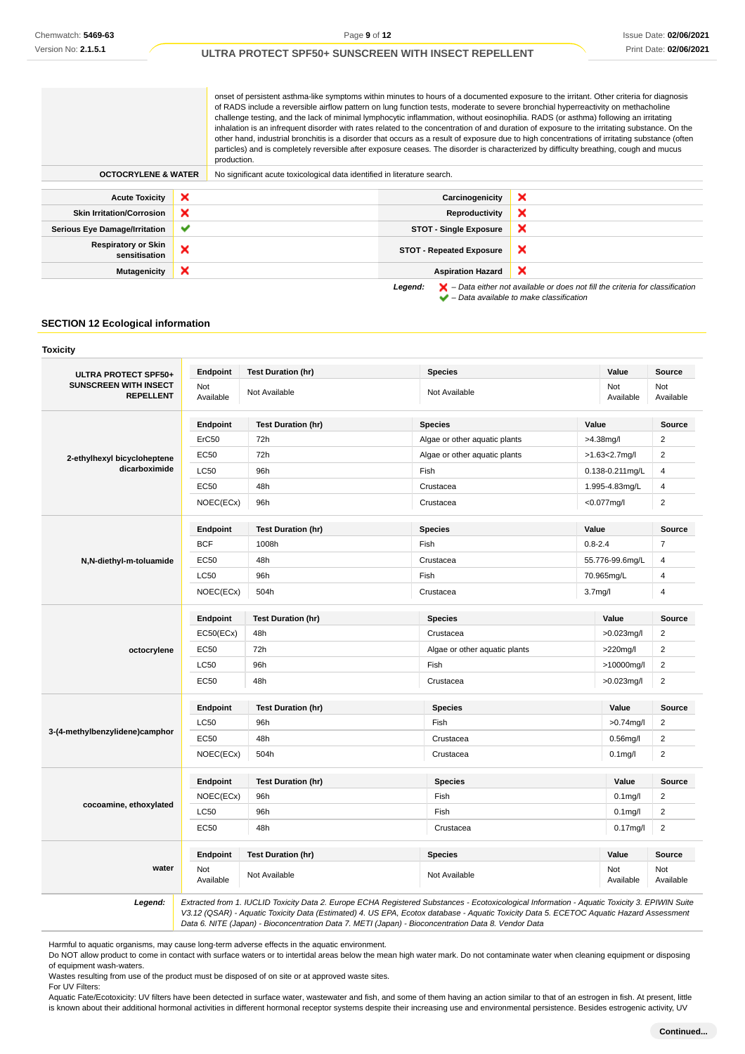onset of persistent asthma-like symptoms within minutes to hours of a documented exposure to the irritant. Other criteria for diagnosis of RADS include a reversible airflow pattern on lung function tests, moderate to severe bronchial hyperreactivity on methacholine challenge testing, and the lack of minimal lymphocytic inflammation, without eosinophilia. RADS (or asthma) following an irritating inhalation is an infrequent disorder with rates related to the concentration of and duration of exposure to the irritating substance. On the other hand, industrial bronchitis is a disorder that occurs as a result of exposure due to high concentrations of irritating substance (often particles) and is completely reversible after exposure ceases. The disorder is characterized by difficulty breathing, cough and mucus production.

| <b>OCTOCRYLENE &amp; WATER</b>              |   | No significant acute toxicological data identified in literature search. |                                                                                                                                                                     |
|---------------------------------------------|---|--------------------------------------------------------------------------|---------------------------------------------------------------------------------------------------------------------------------------------------------------------|
| <b>Acute Toxicity</b>                       | × | Carcinogenicity                                                          | ×                                                                                                                                                                   |
| <b>Skin Irritation/Corrosion</b>            | × | Reproductivity                                                           | ×                                                                                                                                                                   |
| <b>Serious Eye Damage/Irritation</b>        | ✔ | <b>STOT - Single Exposure</b>                                            | ×                                                                                                                                                                   |
| <b>Respiratory or Skin</b><br>sensitisation | × | <b>STOT - Repeated Exposure</b>                                          | ×                                                                                                                                                                   |
| <b>Mutagenicity</b>                         | × | <b>Aspiration Hazard</b>                                                 | ×                                                                                                                                                                   |
|                                             |   | Legend:                                                                  | $\blacktriangleright$ - Data either not available or does not fill the criteria for classification<br>$\blacktriangleright$ - Data available to make classification |

# **SECTION 12 Ecological information**

| ULTRA PROTECT SPF50+                             | Endpoint                | <b>Test Duration (hr)</b> | <b>Species</b>                |                      | Value            | Source                  |
|--------------------------------------------------|-------------------------|---------------------------|-------------------------------|----------------------|------------------|-------------------------|
| <b>SUNSCREEN WITH INSECT</b><br><b>REPELLENT</b> | Not<br>Available        | Not Available             | Not Available                 |                      | Not<br>Available | Not<br>Available        |
|                                                  | Endpoint                | <b>Test Duration (hr)</b> | <b>Species</b>                | Value                |                  | Source                  |
|                                                  | ErC50                   | 72h                       | Algae or other aquatic plants | >4.38mg/l            |                  | $\overline{2}$          |
| 2-ethylhexyl bicycloheptene                      | <b>EC50</b>             | 72h                       | Algae or other aquatic plants |                      | $>1.63<2.7$ mg/l | $\overline{2}$          |
| dicarboximide                                    | <b>LC50</b>             | 96h                       | Fish                          |                      | 0.138-0.211mg/L  | $\overline{4}$          |
|                                                  | EC50                    | 48h                       | Crustacea                     |                      | 1.995-4.83mg/L   | 4                       |
|                                                  | NOEC(ECx)               | 96h                       | Crustacea                     | <0.077mg/l           |                  | $\overline{c}$          |
|                                                  | Endpoint                | <b>Test Duration (hr)</b> | <b>Species</b>                | Value                |                  | Source                  |
|                                                  | <b>BCF</b>              | 1008h                     | Fish                          | $0.8 - 2.4$          |                  | $\overline{7}$          |
| N,N-diethyl-m-toluamide                          | <b>EC50</b>             | 48h                       | Crustacea                     |                      | 55.776-99.6mg/L  | 4                       |
|                                                  | LC50                    | 96h                       | Fish                          | 70.965mg/L           |                  | 4                       |
|                                                  | NOEC(ECx)               | 504h                      | Crustacea                     | 3.7 <sub>mg</sub> /l |                  | $\overline{\mathbf{4}}$ |
|                                                  | Endpoint                | <b>Test Duration (hr)</b> | <b>Species</b>                |                      | Value            | Source                  |
|                                                  | EC50(ECx)               | 48h                       | Crustacea                     |                      | >0.023mg/l       | 2                       |
| octocrylene                                      | EC50                    | 72h                       | Algae or other aquatic plants |                      | >220mg/l         | $\overline{2}$          |
|                                                  | LC50                    | 96h                       | Fish                          |                      | >10000mg/l       | $\overline{2}$          |
|                                                  | <b>EC50</b>             | 48h                       | Crustacea                     |                      | $>0.023$ mg/l    | $\overline{2}$          |
|                                                  | Endpoint                | <b>Test Duration (hr)</b> | <b>Species</b>                |                      | Value            | Source                  |
|                                                  | LC50                    | 96h                       | Fish                          |                      | $>0.74$ mg/l     | $\overline{c}$          |
| 3-(4-methylbenzylidene)camphor                   | EC50                    | 48h                       | Crustacea                     |                      | $0.56$ mg/l      | $\overline{2}$          |
|                                                  | NOEC(ECx)               | 504h                      | Crustacea                     |                      | $0.1$ mg/l       | $\overline{2}$          |
|                                                  | Endpoint                | <b>Test Duration (hr)</b> | <b>Species</b>                |                      | Value            | Source                  |
|                                                  | NOEC(ECx)               | 96h                       | Fish                          |                      | $0.1$ mg/l       | 2                       |
| cocoamine, ethoxylated                           | LC50                    | 96h                       | Fish                          |                      | $0.1$ mg/l       | $\overline{2}$          |
|                                                  | EC50                    | 48h                       | Crustacea                     |                      | $0.17$ mg/l      | $\overline{2}$          |
|                                                  | Endpoint                | <b>Test Duration (hr)</b> | <b>Species</b>                |                      | Value            | Source                  |
| water                                            | <b>Not</b><br>Available | Not Available             | Not Available                 |                      | Not<br>Available | Not<br>Available        |

Harmful to aquatic organisms, may cause long-term adverse effects in the aquatic environment.

Do NOT allow product to come in contact with surface waters or to intertidal areas below the mean high water mark. Do not contaminate water when cleaning equipment or disposing of equipment wash-waters.

Wastes resulting from use of the product must be disposed of on site or at approved waste sites. For UV Filters:

Aquatic Fate/Ecotoxicity: UV filters have been detected in surface water, wastewater and fish, and some of them having an action similar to that of an estrogen in fish. At present, little is known about their additional hormonal activities in different hormonal receptor systems despite their increasing use and environmental persistence. Besides estrogenic activity, UV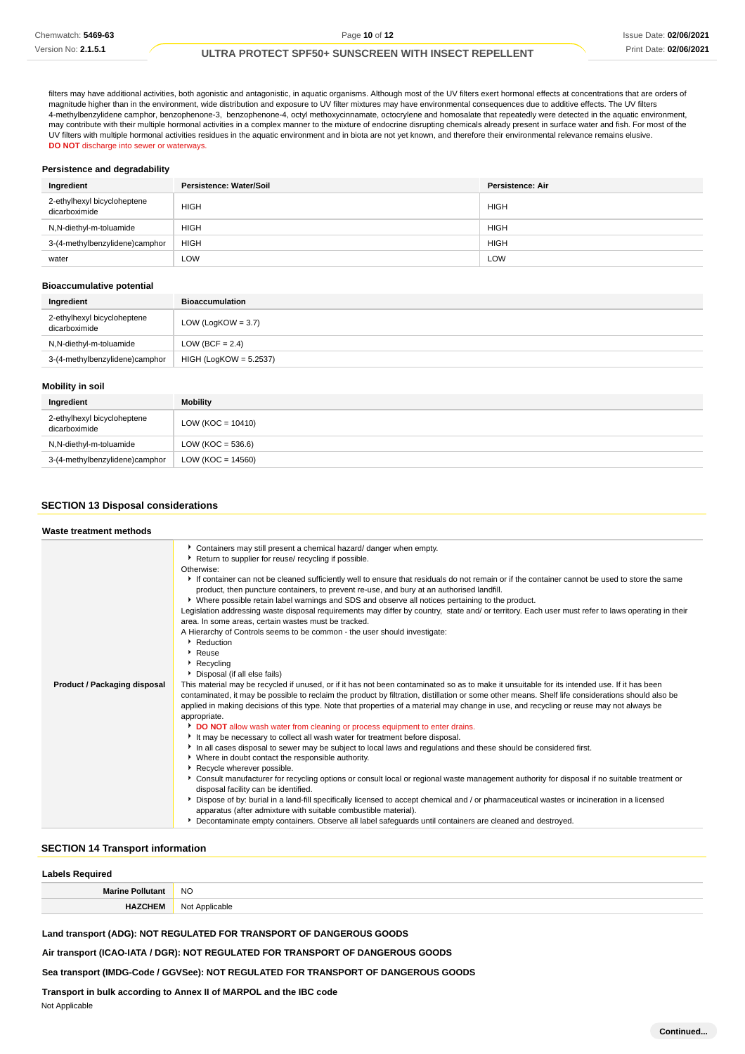filters may have additional activities, both agonistic and antagonistic, in aquatic organisms. Although most of the UV filters exert hormonal effects at concentrations that are orders of magnitude higher than in the environment, wide distribution and exposure to UV filter mixtures may have environmental consequences due to additive effects. The UV filters 4-methylbenzylidene camphor, benzophenone-3, benzophenone-4, octyl methoxycinnamate, octocrylene and homosalate that repeatedly were detected in the aquatic environment, may contribute with their multiple hormonal activities in a complex manner to the mixture of endocrine disrupting chemicals already present in surface water and fish. For most of the UV filters with multiple hormonal activities residues in the aquatic environment and in biota are not yet known, and therefore their environmental relevance remains elusive. **DO NOT** discharge into sewer or waterways.

#### **Persistence and degradability**

| Ingredient                                   | Persistence: Water/Soil | Persistence: Air |
|----------------------------------------------|-------------------------|------------------|
| 2-ethylhexyl bicycloheptene<br>dicarboximide | <b>HIGH</b>             | <b>HIGH</b>      |
| N,N-diethyl-m-toluamide                      | <b>HIGH</b>             | <b>HIGH</b>      |
| 3-(4-methylbenzylidene)camphor               | <b>HIGH</b>             | <b>HIGH</b>      |
| water                                        | LOW                     | LOW              |

# **Bioaccumulative potential**

| Ingredient                                   | <b>Bioaccumulation</b>   |
|----------------------------------------------|--------------------------|
| 2-ethylhexyl bicycloheptene<br>dicarboximide | LOW (LogKOW = $3.7$ )    |
| N,N-diethyl-m-toluamide                      | LOW (BCF = $2.4$ )       |
| 3-(4-methylbenzylidene)camphor               | $HIGH (LogKOW = 5.2537)$ |

#### **Mobility in soil**

| Ingredient                                   | <b>Mobility</b>       |
|----------------------------------------------|-----------------------|
| 2-ethylhexyl bicycloheptene<br>dicarboximide | LOW ( $KOC = 10410$ ) |
| N,N-diethyl-m-toluamide                      | LOW ( $KOC = 536.6$ ) |
| 3-(4-methylbenzylidene)camphor               | LOW ( $KOC = 14560$ ) |

### **SECTION 13 Disposal considerations**

| Waste treatment methods             |                                                                                                                                                                                                                                                                                                                                                                                                                                                                                                                                                                                                                                                                                                                                                                                                                                                                                                                                                                                                                                                                                                                                                                                                                                                                                                                                                                                                                                                                                                                                                                                                                                                                                                                                                                                                                                                                                                                                                                                                                                                                                                                                                                                                                               |
|-------------------------------------|-------------------------------------------------------------------------------------------------------------------------------------------------------------------------------------------------------------------------------------------------------------------------------------------------------------------------------------------------------------------------------------------------------------------------------------------------------------------------------------------------------------------------------------------------------------------------------------------------------------------------------------------------------------------------------------------------------------------------------------------------------------------------------------------------------------------------------------------------------------------------------------------------------------------------------------------------------------------------------------------------------------------------------------------------------------------------------------------------------------------------------------------------------------------------------------------------------------------------------------------------------------------------------------------------------------------------------------------------------------------------------------------------------------------------------------------------------------------------------------------------------------------------------------------------------------------------------------------------------------------------------------------------------------------------------------------------------------------------------------------------------------------------------------------------------------------------------------------------------------------------------------------------------------------------------------------------------------------------------------------------------------------------------------------------------------------------------------------------------------------------------------------------------------------------------------------------------------------------------|
| <b>Product / Packaging disposal</b> | Containers may still present a chemical hazard/ danger when empty.<br>▶ Return to supplier for reuse/ recycling if possible.<br>Otherwise:<br>If container can not be cleaned sufficiently well to ensure that residuals do not remain or if the container cannot be used to store the same<br>product, then puncture containers, to prevent re-use, and bury at an authorised landfill.<br>• Where possible retain label warnings and SDS and observe all notices pertaining to the product.<br>Legislation addressing waste disposal requirements may differ by country, state and/ or territory. Each user must refer to laws operating in their<br>area. In some areas, certain wastes must be tracked.<br>A Hierarchy of Controls seems to be common - the user should investigate:<br>Reduction<br>Reuse<br>▶ Recycling<br>Disposal (if all else fails)<br>This material may be recycled if unused, or if it has not been contaminated so as to make it unsuitable for its intended use. If it has been<br>contaminated, it may be possible to reclaim the product by filtration, distillation or some other means. Shelf life considerations should also be<br>applied in making decisions of this type. Note that properties of a material may change in use, and recycling or reuse may not always be<br>appropriate.<br>DO NOT allow wash water from cleaning or process equipment to enter drains.<br>It may be necessary to collect all wash water for treatment before disposal.<br>In all cases disposal to sewer may be subject to local laws and regulations and these should be considered first.<br>• Where in doubt contact the responsible authority.<br>Recycle wherever possible.<br>▶ Consult manufacturer for recycling options or consult local or regional waste management authority for disposal if no suitable treatment or<br>disposal facility can be identified.<br>Dispose of by: burial in a land-fill specifically licensed to accept chemical and / or pharmaceutical wastes or incineration in a licensed<br>apparatus (after admixture with suitable combustible material).<br>Decontaminate empty containers. Observe all label safeguards until containers are cleaned and destroyed. |

### **SECTION 14 Transport information**

| <b>Labels Required</b>  |                |  |
|-------------------------|----------------|--|
| <b>Marine Pollutant</b> | <b>NO</b>      |  |
| <b>HAZCHEM</b>          | Not Applicable |  |

**Land transport (ADG): NOT REGULATED FOR TRANSPORT OF DANGEROUS GOODS**

**Air transport (ICAO-IATA / DGR): NOT REGULATED FOR TRANSPORT OF DANGEROUS GOODS**

**Sea transport (IMDG-Code / GGVSee): NOT REGULATED FOR TRANSPORT OF DANGEROUS GOODS**

# **Transport in bulk according to Annex II of MARPOL and the IBC code**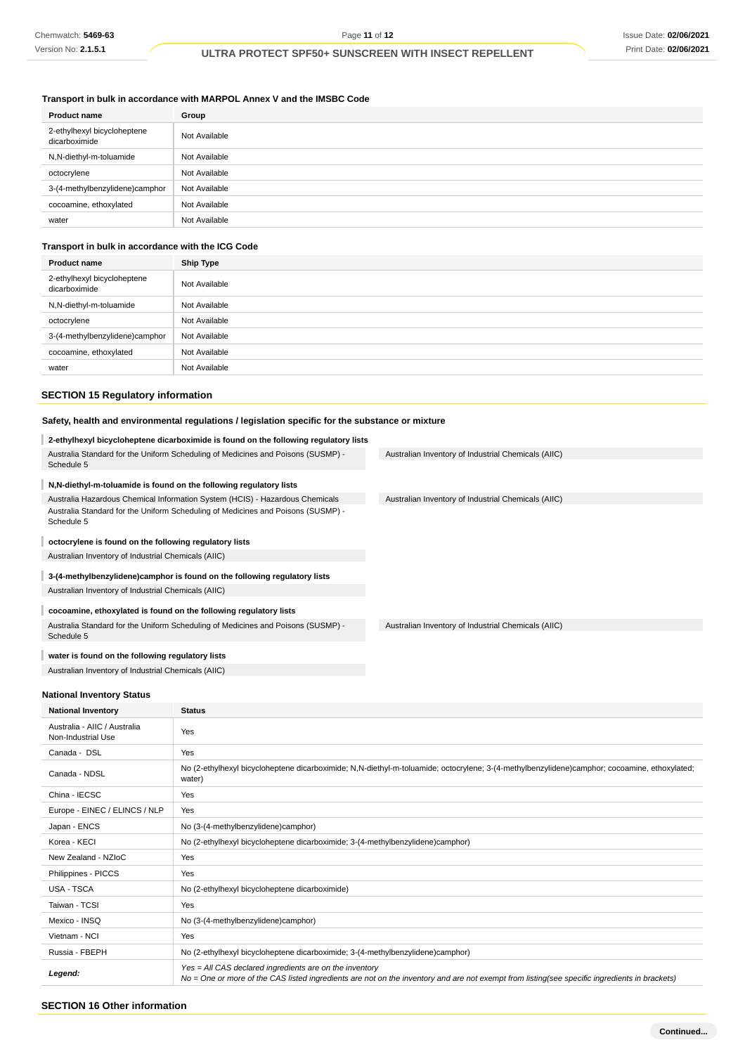# **Transport in bulk in accordance with MARPOL Annex V and the IMSBC Code**

| <b>Product name</b>                          | Group         |
|----------------------------------------------|---------------|
| 2-ethylhexyl bicycloheptene<br>dicarboximide | Not Available |
| N,N-diethyl-m-toluamide                      | Not Available |
| octocrylene                                  | Not Available |
| 3-(4-methylbenzylidene)camphor               | Not Available |
| cocoamine, ethoxylated                       | Not Available |
| water                                        | Not Available |

### **Transport in bulk in accordance with the ICG Code**

| <b>Product name</b>                          | <b>Ship Type</b> |
|----------------------------------------------|------------------|
| 2-ethylhexyl bicycloheptene<br>dicarboximide | Not Available    |
| N,N-diethyl-m-toluamide                      | Not Available    |
| octocrylene                                  | Not Available    |
| 3-(4-methylbenzylidene)camphor               | Not Available    |
| cocoamine, ethoxylated                       | Not Available    |
| water                                        | Not Available    |

# **SECTION 15 Regulatory information**

# **Safety, health and environmental regulations / legislation specific for the substance or mixture**

|                                                                                                | 2-ethylhexyl bicycloheptene dicarboximide is found on the following regulatory lists |                                                                                                                                               |
|------------------------------------------------------------------------------------------------|--------------------------------------------------------------------------------------|-----------------------------------------------------------------------------------------------------------------------------------------------|
| Australia Standard for the Uniform Scheduling of Medicines and Poisons (SUSMP) -<br>Schedule 5 |                                                                                      | Australian Inventory of Industrial Chemicals (AIIC)                                                                                           |
| N,N-diethyl-m-toluamide is found on the following regulatory lists                             |                                                                                      |                                                                                                                                               |
|                                                                                                | Australia Hazardous Chemical Information System (HCIS) - Hazardous Chemicals         | Australian Inventory of Industrial Chemicals (AIIC)                                                                                           |
| Schedule 5                                                                                     | Australia Standard for the Uniform Scheduling of Medicines and Poisons (SUSMP) -     |                                                                                                                                               |
| octocrylene is found on the following regulatory lists                                         |                                                                                      |                                                                                                                                               |
| Australian Inventory of Industrial Chemicals (AIIC)                                            |                                                                                      |                                                                                                                                               |
|                                                                                                | 3-(4-methylbenzylidene)camphor is found on the following regulatory lists            |                                                                                                                                               |
| Australian Inventory of Industrial Chemicals (AIIC)                                            |                                                                                      |                                                                                                                                               |
| cocoamine, ethoxylated is found on the following regulatory lists                              |                                                                                      |                                                                                                                                               |
| Schedule 5                                                                                     | Australia Standard for the Uniform Scheduling of Medicines and Poisons (SUSMP) -     | Australian Inventory of Industrial Chemicals (AIIC)                                                                                           |
| water is found on the following regulatory lists                                               |                                                                                      |                                                                                                                                               |
| Australian Inventory of Industrial Chemicals (AIIC)                                            |                                                                                      |                                                                                                                                               |
|                                                                                                |                                                                                      |                                                                                                                                               |
| <b>National Inventory Status</b>                                                               |                                                                                      |                                                                                                                                               |
| <b>National Inventory</b>                                                                      | <b>Status</b>                                                                        |                                                                                                                                               |
| Australia - AIIC / Australia<br>Non-Industrial Use                                             | Yes                                                                                  |                                                                                                                                               |
| Canada - DSL                                                                                   | Yes                                                                                  |                                                                                                                                               |
| Canada - NDSL                                                                                  | water)                                                                               | No (2-ethylhexyl bicycloheptene dicarboximide; N,N-diethyl-m-toluamide; octocrylene; 3-(4-methylbenzylidene)camphor; cocoamine, ethoxylated;  |
| China - IECSC                                                                                  | Yes                                                                                  |                                                                                                                                               |
| Europe - EINEC / ELINCS / NLP                                                                  | Yes                                                                                  |                                                                                                                                               |
| Japan - ENCS                                                                                   | No (3-(4-methylbenzylidene)camphor)                                                  |                                                                                                                                               |
| Korea - KECI                                                                                   | No (2-ethylhexyl bicycloheptene dicarboximide; 3-(4-methylbenzylidene)camphor)       |                                                                                                                                               |
| New Zealand - NZIoC                                                                            | Yes                                                                                  |                                                                                                                                               |
| Philippines - PICCS                                                                            | Yes                                                                                  |                                                                                                                                               |
| USA - TSCA                                                                                     | No (2-ethylhexyl bicycloheptene dicarboximide)                                       |                                                                                                                                               |
| Taiwan - TCSI                                                                                  | Yes                                                                                  |                                                                                                                                               |
| Mexico - INSQ                                                                                  | No (3-(4-methylbenzylidene)camphor)                                                  |                                                                                                                                               |
| Vietnam - NCI                                                                                  | Yes                                                                                  |                                                                                                                                               |
| Russia - FBEPH                                                                                 | No (2-ethylhexyl bicycloheptene dicarboximide; 3-(4-methylbenzylidene)camphor)       |                                                                                                                                               |
| Legend:                                                                                        | Yes = All CAS declared ingredients are on the inventory                              | No = One or more of the CAS listed ingredients are not on the inventory and are not exempt from listing(see specific ingredients in brackets) |
|                                                                                                |                                                                                      |                                                                                                                                               |

# **SECTION 16 Other information**